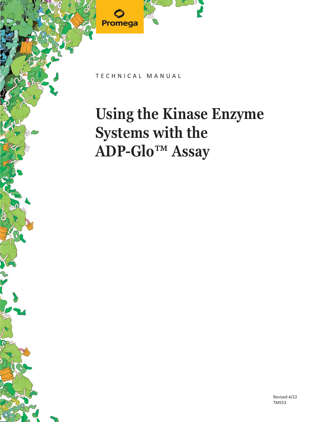

TECHNICAL MANUAL

# **Using the Kinase Enzyme Systems with the ADP-Glo™ Assay**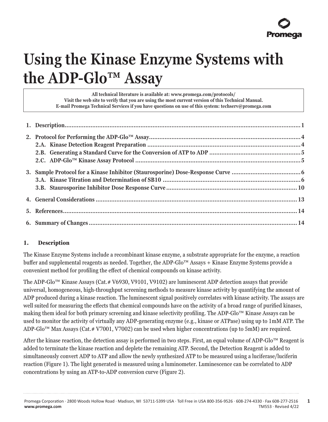

## **Using the Kinase Enzyme Systems with the ADP-Glo™ Assay**

**All technical literature is available at: www.promega.com/protocols/ Visit the web site to verify that you are using the most current version of this Technical Manual. E-mail Promega Technical Services if you have questions on use of this system: techserv@promega.com**

#### **1. Description**

The Kinase Enzyme Systems include a recombinant kinase enzyme, a substrate appropriate for the enzyme, a reaction buffer and supplemental reagents as needed. Together, the ADP-Glo™ Assays + Kinase Enzyme Systems provide a convenient method for profiling the effect of chemical compounds on kinase activity.

The ADP-Glo™ Kinase Assays (Cat.# V6930, V9101, V9102) are luminescent ADP detection assays that provide universal, homogeneous, high-throughput screening methods to measure kinase activity by quantifying the amount of ADP produced during a kinase reaction. The luminescent signal positively correlates with kinase activity. The assays are well suited for measuring the effects that chemical compounds have on the activity of a broad range of purified kinases, making them ideal for both primary screening and kinase selectivity profiling. The ADP-Glo™ Kinase Assays can be used to monitor the activity of virtually any ADP-generating enzyme (e.g., kinase or ATPase) using up to 1mM ATP. The ADP-Glo™ Max Assays (Cat.# V7001, V7002) can be used when higher concentrations (up to 5mM) are required.

After the kinase reaction, the detection assay is performed in two steps. First, an equal volume of ADP-Glo™ Reagent is added to terminate the kinase reaction and deplete the remaining ATP. Second, the Detection Reagent is added to simultaneously convert ADP to ATP and allow the newly synthesized ATP to be measured using a luciferase/luciferin reaction (Figure 1). The light generated is measured using a luminometer. Luminescence can be correlated to ADP concentrations by using an ATP-to-ADP conversion curve (Figure 2).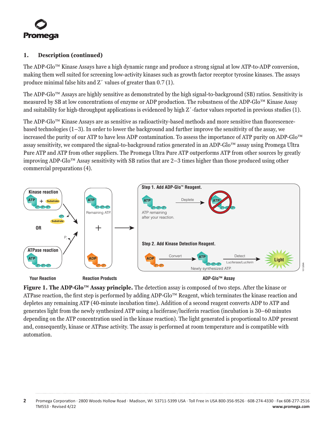

#### **1. Description (continued)**

The ADP-Glo™ Kinase Assays have a high dynamic range and produce a strong signal at low ATP-to-ADP conversion, making them well suited for screening low-activity kinases such as growth factor receptor tyrosine kinases. The assays produce minimal false hits and Z´ values of greater than 0.7 (1).

The ADP-Glo™ Assays are highly sensitive as demonstrated by the high signal-to-background (SB) ratios. Sensitivity is measured by SB at low concentrations of enzyme or ADP production. The robustness of the ADP-Glo™ Kinase Assay and suitability for high-throughput applications is evidenced by high Z´-factor values reported in previous studies (1).

The ADP-Glo™ Kinase Assays are as sensitive as radioactivity-based methods and more sensitive than fluorescencebased technologies (1–3). In order to lower the background and further improve the sensitivity of the assay, we increased the purity of our ATP to have less ADP contamination. To assess the importance of ATP purity on ADP-Glo™ assay sensitivity, we compared the signal-to-background ratios generated in an ADP-Glo™ assay using Promega Ultra Pure ATP and ATP from other suppliers. The Promega Ultra Pure ATP outperforms ATP from other sources by greatly improving ADP-Glo™ Assay sensitivity with SB ratios that are 2–3 times higher than those produced using other commercial preparations (4).



**Figure 1. The ADP-Glo™ Assay principle.** The detection assay is composed of two steps. After the kinase or ATPase reaction, the first step is performed by adding ADP-Glo™ Reagent, which terminates the kinase reaction and depletes any remaining ATP (40-minute incubation time). Addition of a second reagent converts ADP to ATP and generates light from the newly synthesized ATP using a luciferase/luciferin reaction (incubation is 30–60 minutes depending on the ATP concentration used in the kinase reaction). The light generated is proportional to ADP present and, consequently, kinase or ATPase activity. The assay is performed at room temperature and is compatible with automation.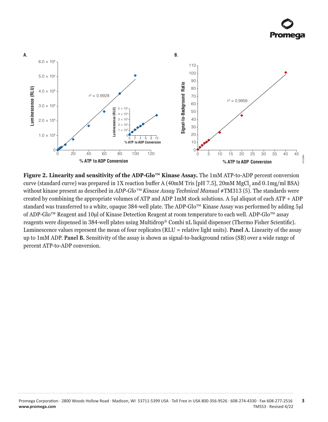

**Figure 2. Linearity and sensitivity of the ADP-Glo™ Kinase Assay.** The 1mM ATP-to-ADP percent conversion curve (standard curve) was prepared in 1X reaction buffer A (40mM Tris [pH 7.5], 20mM MgCl<sub>2</sub> and 0.1mg/ml BSA) without kinase present as described in *ADP-Glo™ Kinase Assay Technical Manual* #TM313 (5). The standards were created by combining the appropriate volumes of ATP and ADP 1mM stock solutions. A 5µl aliquot of each ATP + ADP standard was transferred to a white, opaque 384-well plate. The ADP-Glo™ Kinase Assay was performed by adding 5µl of ADP-Glo™ Reagent and 10μl of Kinase Detection Reagent at room temperature to each well. ADP-Glo™ assay reagents were dispensed in 384-well plates using Multidrop® Combi nL liquid dispenser (Thermo Fisher Scientific). Luminescence values represent the mean of four replicates (RLU = relative light units). **Panel A.** Linearity of the assay up to 1mM ADP. **Panel B.** Sensitivity of the assay is shown as signal-to-background ratios (SB) over a wide range of percent ATP-to-ADP conversion.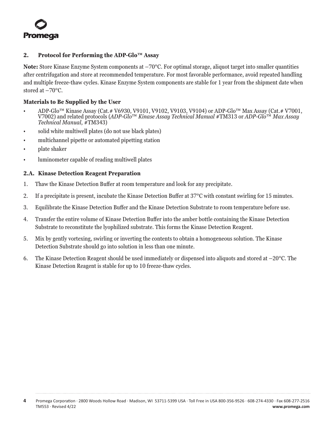<span id="page-4-0"></span>

#### **2. Protocol for Performing the ADP-Glo™ Assay**

**Note:** Store Kinase Enzyme System components at –70°C. For optimal storage, aliquot target into smaller quantities after centrifugation and store at recommended temperature. For most favorable performance, avoid repeated handling and multiple freeze-thaw cycles. Kinase Enzyme System components are stable for 1 year from the shipment date when stored at –70°C.

#### **Materials to Be Supplied by the User**

- $ADP-Glo^{\tau M}$  Kinase Assay (Cat.# V6930, V9101, V9102, V9103, V9104) or ADP-Glo<sup>™</sup> Max Assay (Cat.# V7001, V7002) and related protocols (*ADP-Glo*™ *Kinase Assay Technical Manual* #TM313 or *ADP-Glo*™ *Max Assay Technical Manual*, #TM343)
- solid white multiwell plates (do not use black plates)
- multichannel pipette or automated pipetting station
- plate shaker
- luminometer capable of reading multiwell plates

#### **2.A. Kinase Detection Reagent Preparation**

- 1. Thaw the Kinase Detection Buffer at room temperature and look for any precipitate.
- 2. If a precipitate is present, incubate the Kinase Detection Buffer at 37°C with constant swirling for 15 minutes.
- 3. Equilibrate the Kinase Detection Buffer and the Kinase Detection Substrate to room temperature before use.
- 4. Transfer the entire volume of Kinase Detection Buffer into the amber bottle containing the Kinase Detection Substrate to reconstitute the lyophilized substrate. This forms the Kinase Detection Reagent.
- 5. Mix by gently vortexing, swirling or inverting the contents to obtain a homogeneous solution. The Kinase Detection Substrate should go into solution in less than one minute.
- 6. The Kinase Detection Reagent should be used immediately or dispensed into aliquots and stored at –20°C. The Kinase Detection Reagent is stable for up to 10 freeze-thaw cycles.

**4** Promega Corporation · 2800 Woods Hollow Road · Madison, WI 53711-5399 USA · Toll Free in USA 800-356-9526 · 608-274-4330 · Fax 608-277-2516 TM553 · Revised 4/22 **www.promega.com**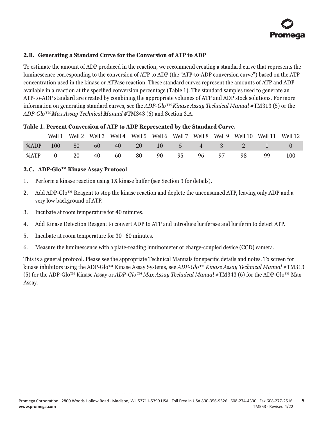#### <span id="page-5-0"></span>**2.B. Generating a Standard Curve for the Conversion of ATP to ADP**

To estimate the amount of ADP produced in the reaction, we recommend creating a standard curve that represents the luminescence corresponding to the conversion of ATP to ADP (the "ATP-to-ADP conversion curve") based on the ATP concentration used in the kinase or ATPase reaction. These standard curves represent the amounts of ATP and ADP available in a reaction at the specified conversion percentage (Table 1). The standard samples used to generate an ATP-to-ADP standard are created by combining the appropriate volumes of ATP and ADP stock solutions. For more information on generating standard curves, see the *ADP-Glo™ Kinase Assay Technical Manual* #TM313 (5) or the *ADP-Glo™ Max Assay Technical Manual* #TM343 (6) and Section 3.A.

#### **Table 1. Percent Conversion of ATP to ADP Represented by the Standard Curve.**

|      | Well 1 |    |     |    |      |    |    |    |    |              |    | Well 2 Well 3 Well 4 Well 5 Well 6 Well 7 Well 8 Well 9 Well 10 Well 11 Well 12 |
|------|--------|----|-----|----|------|----|----|----|----|--------------|----|---------------------------------------------------------------------------------|
| %ADP | 100    | 80 | -60 | 40 | - 20 |    |    |    |    | 10 5 4 3 2 1 |    |                                                                                 |
| %ATP |        | 20 | 40  | 60 | - 80 | 90 | 95 | 96 | 97 | 98           | 99 | 100                                                                             |

#### **2.C. ADP-Glo™ Kinase Assay Protocol**

- 1. Perform a kinase reaction using 1X kinase buffer (see Section 3 for details).
- 2. Add ADP-Glo™ Reagent to stop the kinase reaction and deplete the unconsumed ATP, leaving only ADP and a very low background of ATP.
- 3. Incubate at room temperature for 40 minutes.
- 4. Add Kinase Detection Reagent to convert ADP to ATP and introduce luciferase and luciferin to detect ATP.
- 5. Incubate at room temperature for 30–60 minutes.
- 6. Measure the luminescence with a plate-reading luminometer or charge-coupled device (CCD) camera.

This is a general protocol. Please see the appropriate Technical Manuals for specific details and notes. To screen for kinase inhibitors using the ADP-Glo™ Kinase Assay Systems, see *ADP-Glo™ Kinase Assay Technical Manual* #TM313 (5) for the ADP-Glo™ Kinase Assay or *ADP-Glo™ Max Assay Technical Manual* #TM343 (6) for the ADP-Glo™ Max Assay.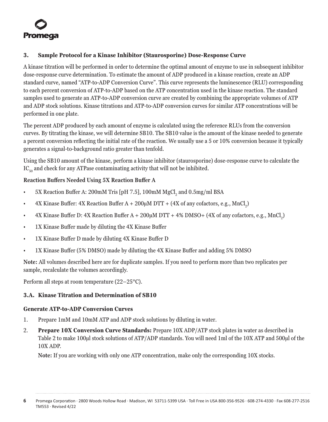<span id="page-6-0"></span>

#### **3. Sample Protocol for a Kinase Inhibitor (Staurosporine) Dose-Response Curve**

A kinase titration will be performed in order to determine the optimal amount of enzyme to use in subsequent inhibitor dose-response curve determination. To estimate the amount of ADP produced in a kinase reaction, create an ADP standard curve, named "ATP-to-ADP Conversion Curve". This curve represents the luminescence (RLU) corresponding to each percent conversion of ATP-to-ADP based on the ATP concentration used in the kinase reaction. The standard samples used to generate an ATP-to-ADP conversion curve are created by combining the appropriate volumes of ATP and ADP stock solutions. Kinase titrations and ATP-to-ADP conversion curves for similar ATP concentrations will be performed in one plate.

The percent ADP produced by each amount of enzyme is calculated using the reference RLUs from the conversion curves. By titrating the kinase, we will determine SB10. The SB10 value is the amount of the kinase needed to generate a percent conversion reflecting the initial rate of the reaction. We usually use a 5 or 10% conversion because it typically generates a signal-to-background ratio greater than tenfold.

Using the SB10 amount of the kinase, perform a kinase inhibitor (staurosporine) dose-response curve to calculate the  $IC_{50}$  and check for any ATPase contaminating activity that will not be inhibited.

#### **Reaction Buffers Needed Using 5X Reaction Buffer A**

- $5X$  Reaction Buffer A: 200mM Tris [pH 7.5], 100mM MgCl<sub>2</sub> and 0.5mg/ml BSA
- 4X Kinase Buffer: 4X Reaction Buffer  $A + 200\mu M$  DTT + (4X of any cofactors, e.g., MnCl<sub>2</sub>)
- 4X Kinase Buffer D: 4X Reaction Buffer  $A + 200\mu M$  DTT + 4% DMSO+ (4X of any cofactors, e.g., MnCl<sub>2</sub>)
- 1X Kinase Buffer made by diluting the 4X Kinase Buffer
- 1X Kinase Buffer D made by diluting 4X Kinase Buffer D
- 1X Kinase Buffer (5% DMSO) made by diluting the 4X Kinase Buffer and adding 5% DMSO

**Note:** All volumes described here are for duplicate samples. If you need to perform more than two replicates per sample, recalculate the volumes accordingly.

Perform all steps at room temperature (22–25°C).

### **3.A. Kinase Titration and Determination of SB10**

#### **Generate ATP-to-ADP Conversion Curves**

- 1. Prepare 1mM and 10mM ATP and ADP stock solutions by diluting in water.
- 2. **Prepare 10X Conversion Curve Standards:** Prepare 10X ADP/ATP stock plates in water as described in Table 2 to make 100µl stock solutions of ATP/ADP standards. You will need 1ml of the 10X ATP and 500µl of the 10X ADP.

**Note:** If you are working with only one ATP concentration, make only the corresponding 10X stocks.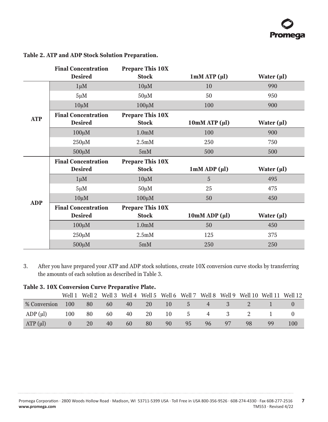|            | <b>Final Concentration</b> | <b>Prepare This 10X</b> |                           |                         |
|------------|----------------------------|-------------------------|---------------------------|-------------------------|
|            | <b>Desired</b>             | <b>Stock</b>            | 1 <sub>m</sub> M ATP (µl) | Water $(\mu\mathbf{l})$ |
|            | $1 \mu M$                  | $10 \mu M$              | 10                        | 990                     |
|            | $5 \mu M$                  | $50 \mu M$              | 50                        | 950                     |
|            | $10 \mu M$                 | $100 \mu M$             | 100                       | 900                     |
|            | <b>Final Concentration</b> | <b>Prepare This 10X</b> |                           |                         |
| <b>ATP</b> | <b>Desired</b>             | <b>Stock</b>            | $10mMATP(\mu l)$          | Water $(\mu\mathbf{l})$ |
|            | $100 \mu M$                | 1.0 <sub>m</sub> M      | 100                       | 900                     |
|            | $250 \mu M$                | 2.5 <sub>m</sub> M      | 250                       | 750                     |
|            | $500 \mu M$                | 5mM                     | 500                       | 500                     |
|            | <b>Final Concentration</b> | <b>Prepare This 10X</b> |                           |                         |
|            | <b>Desired</b>             | <b>Stock</b>            | $1mM$ ADP $(\mu l)$       | Water (µl)              |
|            | $1 \mu M$                  | $10 \mu M$              | 5                         | 495                     |
|            | $5 \mu M$                  | $50 \mu M$              | 25                        | 475                     |
| <b>ADP</b> | $10 \mu M$                 | $100 \mu M$             | 50                        | 450                     |
|            | <b>Final Concentration</b> | <b>Prepare This 10X</b> |                           |                         |
|            | <b>Desired</b>             | <b>Stock</b>            | $10mM$ ADP ( $\mu$ l)     | Water (µl)              |
|            | $100 \mu M$                | 1.0 <sub>m</sub> M      | 50                        | 450                     |
|            |                            | 2.5 <sub>m</sub> M      | 125                       | 375                     |
|            | $250 \mu M$                |                         |                           |                         |

#### **Table 2. ATP and ADP Stock Solution Preparation.**

3. After you have prepared your ATP and ADP stock solutions, create 10X conversion curve stocks by transferring the amounts of each solution as described in Table 3.

#### **Table 3. 10X Conversion Curve Preparative Plate.**

. . . . . . . . . .

. . . . . . . .

. . . . . . . .

. . . . . . . . . . .

|              | Well 1 |    |    |    |    |    |            |                |     |    |    | Well 2 Well 3 Well 4 Well 5 Well 6 Well 7 Well 8 Well 9 Well 10 Well 11 Well 12 |
|--------------|--------|----|----|----|----|----|------------|----------------|-----|----|----|---------------------------------------------------------------------------------|
| % Conversion | 100    | 80 | 60 | 40 | 20 | 10 | $\sqrt{5}$ | $\overline{4}$ |     |    |    |                                                                                 |
| ADP (ul)     | 100    | 80 | 60 | 40 | 20 | 10 | -5         | $\overline{4}$ |     |    |    |                                                                                 |
| $ATP(\mu l)$ |        | 20 | 40 | 60 | 80 | 90 | 95         | 96             | -97 | 98 | 99 | 100                                                                             |

. . . . . . . .

. . . . . . . .

. . . . . . . .

. . . . . . . .

. . . . . . . . . . . .

. . . . . . . . . . .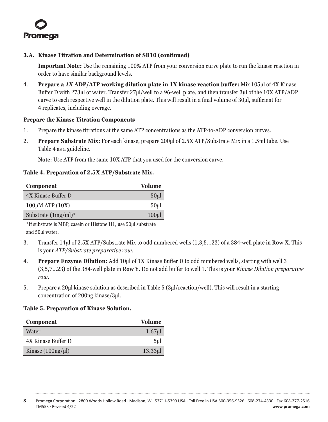

#### **3.A. Kinase Titration and Determination of SB10 (continued)**

**Important Note:** Use the remaining 100% ATP from your conversion curve plate to run the kinase reaction in order to have similar background levels.

4. **Prepare a** *1X* **ADP/ATP working dilution plate in 1X kinase reaction buffer:** Mix 105µl of 4X Kinase Buffer D with 273µl of water. Transfer 27µl/well to a 96-well plate, and then transfer 3µl of the 10X ATP/ADP curve to each respective well in the dilution plate. This will result in a final volume of 30µl, sufficient for 4 replicates, including overage.

#### **Prepare the Kinase Titration Components**

- 1. Prepare the kinase titrations at the same ATP concentrations as the ATP-to-ADP conversion curves.
- 2. **Prepare Substrate Mix:** For each kinase, prepare 200µl of 2.5X ATP/Substrate Mix in a 1.5ml tube. Use Table 4 as a guideline.

**Note:** Use ATP from the same 10X ATP that you used for the conversion curve.

#### **Table 4. Preparation of 2.5X ATP/Substrate Mix.**

| Component              | <b>Volume</b>    |
|------------------------|------------------|
| 4X Kinase Buffer D     | 50 <sub>ul</sub> |
| $100\mu$ M ATP $(10X)$ | 50ul             |
| Substrate $(1mg/ml)^*$ | 100ul            |

\*If substrate is MBP, casein or Histone H1, use 50µl substrate and 50µl water.

- 3. Transfer 14µl of 2.5X ATP/Substrate Mix to odd numbered wells (1,3,5...23) of a 384-well plate in **Row X**. This is your *ATP/Substrate preparative row*.
- 4. **Prepare Enzyme Dilution:** Add 10µl of 1X Kinase Buffer D to odd numbered wells, starting with well 3 (3,5,7...23) of the 384-well plate in **Row Y**. Do not add buffer to well 1. This is your *Kinase Dilution preparative row*.
- 5. Prepare a 20µl kinase solution as described in Table 5 (3µl/reaction/well). This will result in a starting concentration of 200ng kinase/3µl.

#### **Table 5. Preparation of Kinase Solution.**

| Component           | Volume          |
|---------------------|-----------------|
| Water               | 1.67ul          |
| 4X Kinase Buffer D  | 5 <sub>ul</sub> |
| Kinase $(100ng/µl)$ | $13.33$ ul      |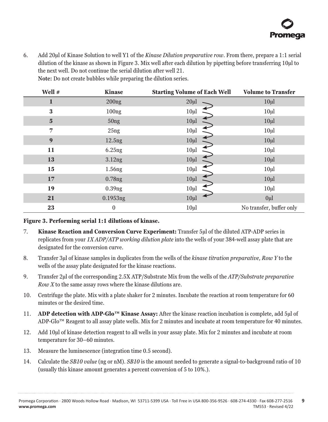6. Add 20μl of Kinase Solution to well Y1 of the *Kinase Dilution preparative row*. From there, prepare a 1:1 serial dilution of the kinase as shown in Figure 3. Mix well after each dilution by pipetting before transferring 10μl to the next well. Do not continue the serial dilution after well 21. **Note:** Do not create bubbles while preparing the dilution series.

**Well # Kinase Starting Volume of Each Well Volume to Transfer** 200ng 200ng 20 $\mu$  20 $\mu$  10 $\mu$  100ng 10 $\mu$  10 $\mu$  10 $\mu$  10 $\mu$  50ng 10 $\mu$ l 10 $\mu$  10 $\mu$  25ng 10 $\mu$  10 $\mu$  10 $\mu$  10 $\mu$  12.5ng 10 $\mu$ l 10 $\mu$  10 $\mu$  10 $\mu$  6.25ng 10 $\mu$ l 10 $\mu$  3.12ng 10 $\mu$ l 10 $\mu$  1.56ng 10 $\mu$ l 10 $\mu$  10 $\mu$  0.78ng 10 $\mu$ l 10 $\mu$  0.39ng 10µl 10<br>10µl 10µl 10µl 0.1953ng 10 $\mu$ l 10 $\mu$ 0 10µl No transfer, buffer only

**Figure 3. Performing serial 1:1 dilutions of kinase.**

- 7. **Kinase Reaction and Conversion Curve Experiment:** Transfer 5µl of the diluted ATP-ADP series in replicates from your *1X ADP/ATP working dilution plate* into the wells of your 384-well assay plate that are designated for the conversion curve.
- 8. Transfer 3μl of kinase samples in duplicates from the wells of the *kinase titration preparative, Row Y* to the wells of the assay plate designated for the kinase reactions.
- 9. Transfer 2μl of the corresponding 2.5X ATP/Substrate Mix from the wells of the *ATP/Substrate preparative Row X* to the same assay rows where the kinase dilutions are.
- 10. Centrifuge the plate. Mix with a plate shaker for 2 minutes. Incubate the reaction at room temperature for 60 minutes or the desired time.
- 11. **ADP detection with ADP-Glo™ Kinase Assay:** After the kinase reaction incubation is complete, add 5μl of ADP-Glo™ Reagent to all assay plate wells. Mix for 2 minutes and incubate at room temperature for 40 minutes.
- 12. Add 10μl of kinase detection reagent to all wells in your assay plate. Mix for 2 minutes and incubate at room temperature for 30–60 minutes.
- 13. Measure the luminescence (integration time 0.5 second).
- 14. Calculate the *SB10 value* (ng or nM). *SB10* is the amount needed to generate a signal-to-background ratio of 10 (usually this kinase amount generates a percent conversion of 5 to 10%.).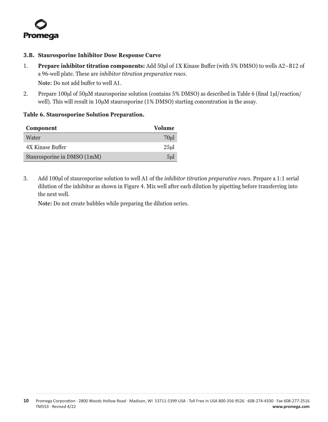<span id="page-10-0"></span>

#### **3.B. Staurosporine Inhibitor Dose Response Curve**

- 1. **Prepare inhibitor titration components:** Add 50μl of 1X Kinase Buffer (with 5% DMSO) to wells A2–B12 of a 96-well plate. These are *inhibitor titration preparative rows*. **Note:** Do not add buffer to well A1.
- 2. Prepare 100μl of 50μM staurosporine solution (contains 5% DMSO) as described in Table 6 (final 1μl/reaction/ well). This will result in 10μM staurosporine (1% DMSO) starting concentration in the assay.

#### **Table 6. Staurosporine Solution Preparation.**

| Component                   | <b>Volume</b>   |
|-----------------------------|-----------------|
| Water                       | 70ul            |
| 4X Kinase Buffer            | 25ul            |
| Staurosporine in DMSO (1mM) | 5 <sub>ul</sub> |

3. Add 100μl of staurosporine solution to well A1 of the *inhibitor titration preparative rows*. Prepare a 1:1 serial dilution of the inhibitor as shown in Figure 4. Mix well after each dilution by pipetting before transferring into the next well.

**Note:** Do not create bubbles while preparing the dilution series.

**<sup>10</sup>** Promega Corporation · 2800 Woods Hollow Road · Madison, WI 53711-5399 USA · Toll Free in USA 800-356-9526 · 608-274-4330 · Fax 608-277-2516 TM553 · Revised 4/22 **www.promega.com**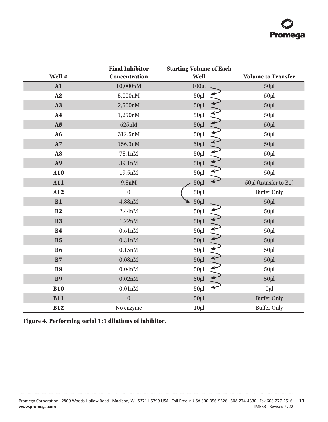# **Promega**

|                | <b>Final Inhibitor</b> | <b>Starting Volume of Each</b> |                           |
|----------------|------------------------|--------------------------------|---------------------------|
| Well #         | Concentration          | Well                           | <b>Volume to Transfer</b> |
| ${\bf A1}$     | 10,000nM               | $100 \mu$                      | $50 \mu$                  |
| A2             | 5,000nM                | $50 \mu$                       | $50 \mu$                  |
| A3             | 2,500nM                | $50 \mu l$                     | $50 \mu$ l                |
| A <sub>4</sub> | 1,250nM                | 41414141414<br>$50 \mu$        | $50 \mu$                  |
| A <sub>5</sub> | 625nM                  | $50 \mu$ l                     | $50 \mu$ l                |
| A6             | 312.5nM                | $50 \mu l$                     | $50 \mu$                  |
| $\mathbf{A}7$  | 156.3nM                | $50 \mu$ l                     | $50 \mu$ l                |
| A8             | 78.1nM                 | $50 \mu l$                     | $50 \mu$                  |
| A9             | 39.1nM                 | $50 \mu l$                     | $50 \mu$                  |
| A10            | 19.5nM                 | $50 \mu l$                     | $50 \mu$                  |
| A11            | 9.8nM                  | $50 \mu$                       | 50µl (transfer to B1)     |
| A12            | $\boldsymbol{0}$       | $50 \mu l$                     | <b>Buffer Only</b>        |
| B1             | 4.88nM                 | $50 \mu l$                     | $50 \mu l$                |
| B <sub>2</sub> | 2.44nM                 | $50 \mu l$                     | $50 \mu$                  |
| <b>B3</b>      | 1.22nM                 | $\frac{1}{2}$<br>$50 \mu l$    | $50 \mu$                  |
| <b>B4</b>      | 0.61nM                 | $50 \mu l$                     | $50 \mu$                  |
| B <sub>5</sub> | 0.31nM                 | $50 \mu$                       | $50 \mu$                  |
| <b>B6</b>      | 0.15nM                 | $50 \mu l$                     | $50 \mu$                  |
| B7             | 0.08nM                 | $50 \mu$ l                     | $50 \mu$                  |
| <b>B8</b>      | 0.04nM                 | $50 \mu l$                     | $50 \mu$                  |
| <b>B9</b>      | 0.02nM                 | $50 \mu l$                     | $50 \mu$                  |
| <b>B10</b>     | 0.01nM                 | $50 \mu l$                     | $0\mu$ l                  |
| <b>B11</b>     | $\boldsymbol{0}$       | $50 \mu l$                     | <b>Buffer Only</b>        |
| <b>B12</b>     | No enzyme              | $10\mu$                        | <b>Buffer Only</b>        |

|  | Figure 4. Performing serial 1:1 dilutions of inhibitor. |  |  |  |
|--|---------------------------------------------------------|--|--|--|
|--|---------------------------------------------------------|--|--|--|

. . . . . . .

. . . . . . . . . . .

. . . . . . . . . . .

. . . . . . . . . . .

. . . . . . . . . . .

. . . . . . . . . . . . . .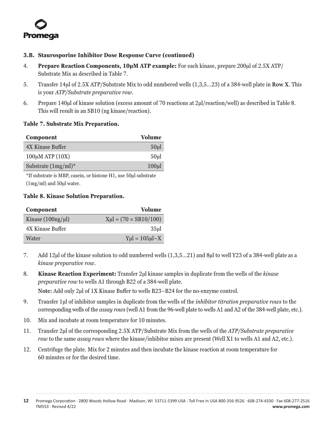

#### **3.B. Staurosporine Inhibitor Dose Response Curve (continued)**

- 4. **Prepare Reaction Components, 10μM ATP example:** For each kinase, prepare 200μl of 2.5X ATP/ Substrate Mix as described in Table 7.
- 5. Transfer 14μl of 2.5X ATP/Substrate Mix to odd numbered wells (1,3,5...23) of a 384-well plate in **Row X**. This is your *ATP/Substrate preparative row*.
- 6. Prepare 140μl of kinase solution (excess amount of 70 reactions at 2μl/reaction/well) as described in Table 8. This will result in an SB10 (ng kinase/reaction).

#### **Table 7. Substrate Mix Preparation.**

| <b>Component</b>       | <b>Volume</b>    |
|------------------------|------------------|
| 4X Kinase Buffer       | 50 <sub>ul</sub> |
| $100\mu$ M ATP $(10X)$ | 50ul             |
| Substrate $(1mg/ml)^*$ | 100ul            |

\*If substrate is MBP, casein, or histone H1, use 50µl substrate (1mg/ml) and 50µl water.

#### **Table 8. Kinase Solution Preparation.**

| Component              | <b>Volume</b>                               |
|------------------------|---------------------------------------------|
| Kinase $(100ng/\mu l)$ | $Xu = (70 \times SB10/100)$                 |
| 4X Kinase Buffer       | 35ul                                        |
| Water                  | $Y$ <sub>u</sub> l = 105 <sub>ul</sub> $-X$ |

- 7. Add 12μl of the kinase solution to odd numbered wells (1,3,5...21) and 8μl to well Y23 of a 384-well plate as a *kinase preparative row*.
- 8. **Kinase Reaction Experiment:** Transfer 2μl kinase samples in duplicate from the wells of the *kinase preparative row* to wells A1 through B22 of a 384-well plate. **Note:** Add only 2μl of 1X Kinase Buffer to wells B23–B24 for the no-enzyme control.
- 9. Transfer 1μl of inhibitor samples in duplicate from the wells of the *inhibitor titration preparative rows* to the corresponding wells of the *assay rows* (well A1 from the 96-well plate to wells A1 and A2 of the 384-well plate, etc.).
- 10. Mix and incubate at room temperature for 10 minutes.
- 11. Transfer 2μl of the corresponding 2.5X ATP/Substrate Mix from the wells of the *ATP/Substrate preparative row* to the same *assay rows* where the kinase/inhibitor mixes are present (Well X1 to wells A1 and A2, etc.).
- 12. Centrifuge the plate. Mix for 2 minutes and then incubate the kinase reaction at room temperature for 60 minutes or for the desired time.

**<sup>12</sup>** Promega Corporation · 2800 Woods Hollow Road · Madison, WI 53711-5399 USA · Toll Free in USA 800-356-9526 · 608-274-4330 · Fax 608-277-2516 TM553 · Revised 4/22 **www.promega.com**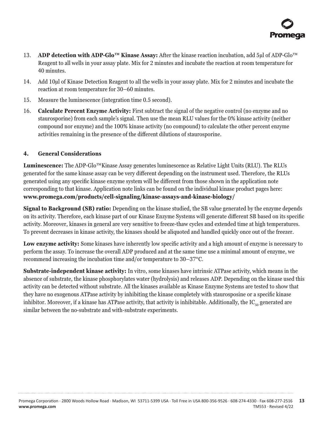

- <span id="page-13-0"></span>13. **ADP detection with ADP-Glo™ Kinase Assay:** After the kinase reaction incubation, add 5μl of ADP-Glo™ Reagent to all wells in your assay plate. Mix for 2 minutes and incubate the reaction at room temperature for 40 minutes.
- 14. Add 10µl of Kinase Detection Reagent to all the wells in your assay plate. Mix for 2 minutes and incubate the reaction at room temperature for 30–60 minutes.
- 15. Measure the luminescence (integration time 0.5 second).
- 16. **Calculate Percent Enzyme Activity:** First subtract the signal of the negative control (no enzyme and no staurosporine) from each sample's signal. Then use the mean RLU values for the 0% kinase activity (neither compound nor enzyme) and the 100% kinase activity (no compound) to calculate the other percent enzyme activities remaining in the presence of the different dilutions of staurosporine.

#### **4. General Considerations**

**Luminescence:** The ADP-Glo™Kinase Assay generates luminescence as Relative Light Units (RLU). The RLUs generated for the same kinase assay can be very different depending on the instrument used. Therefore, the RLUs generated using any specific kinase enzyme system will be different from those shown in the application note corresponding to that kinase. Application note links can be found on the individual kinase product pages here: **www.promega.com/products/cell-signaling/kinase-assays-and-kinase-biology/**

**Signal to Background (SB) ratio:** Depending on the kinase studied, the SB value generated by the enzyme depends on its activity. Therefore, each kinase part of our Kinase Enzyme Systems will generate different SB based on its specific activity. Moreover, kinases in general are very sensitive to freeze-thaw cycles and extended time at high temperatures. To prevent decreases in kinase activity, the kinases should be aliquoted and handled quickly once out of the freezer.

**Low enzyme activity:** Some kinases have inherently low specific activity and a high amount of enzyme is necessary to perform the assay. To increase the overall ADP produced and at the same time use a minimal amount of enzyme, we recommend increasing the incubation time and/or temperature to 30–37°C.

**Substrate-independent kinase activity:** In vitro, some kinases have intrinsic ATPase activity, which means in the absence of substrate, the kinase phosphorylates water (hydrolysis) and releases ADP. Depending on the kinase used this activity can be detected without substrate. All the kinases available as Kinase Enzyme Systems are tested to show that they have no exogenous ATPase activity by inhibiting the kinase completely with staurosposine or a specific kinase inhibitor. Moreover, if a kinase has ATPase activity, that activity is inhibitable. Additionally, the  $IC_{50}$  generated are similar between the no-substrate and with-substrate experiments.